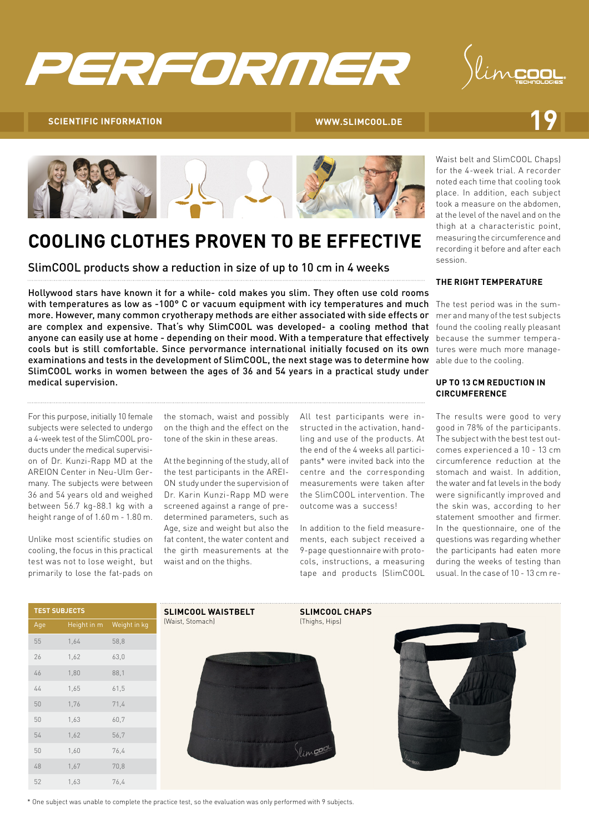



# **SCIENTIFIC INFORMATION 19**





### **COOLING CLOTHES PROVEN TO BE EFFECTIVE**

SlimCOOL products show a reduction in size of up to 10 cm in 4 weeks

with temperatures as low as -100° C or vacuum equipment with icy temperatures and much The test period was in the sumanyone can easily use at home - depending on their mood. With a temperature that effectively specause the summer temperacools but is still comfortable. Since pervormance international initially focused on its own tures were much more manageexaminations and tests in the development of SlimCOOL, the next stage was to determine how able due to the cooling. Hollywood stars have known it for a while- cold makes you slim. They often use cold rooms more. However, many common cryotherapy methods are either associated with side effects or are complex and expensive. That's why SlimCOOL was developed- a cooling method that SlimCOOL works in women between the ages of 36 and 54 years in a practical study under medical supervision.

For this purpose, initially 10 female subjects were selected to undergo a 4-week test of the SlimCOOL products under the medical supervision of Dr. Kunzi-Rapp MD at the AREION Center in Neu-Ulm Germany. The subjects were between 36 and 54 years old and weighed between 56.7 kg-88.1 kg with a height range of of 1.60 m - 1.80 m.

Unlike most scientific studies on cooling, the focus in this practical test was not to lose weight, but primarily to lose the fat-pads on

the stomach, waist and possibly on the thigh and the effect on the tone of the skin in these areas.

At the beginning of the study, all of the test participants in the AREI-ON study under the supervision of Dr. Karin Kunzi-Rapp MD were screened against a range of predetermined parameters, such as Age, size and weight but also the fat content, the water content and the girth measurements at the waist and on the thighs.

All test participants were instructed in the activation, handling and use of the products. At the end of the 4 weeks all participants\* were invited back into the centre and the corresponding measurements were taken after the SlimCOOL intervention. The outcome was a success!

In addition to the field measurements, each subject received a 9-page questionnaire with protocols, instructions, a measuring tape and products (SlimCOOL

Waist belt and SlimCOOL Chaps) for the 4-week trial. A recorder noted each time that cooling took place. In addition, each subject took a measure on the abdomen, at the level of the navel and on the thigh at a characteristic point, measuring the circumference and recording it before and after each session.

### **THE RIGHT TEMPERATURE**

mer and many of the test subjects found the cooling really pleasant

### **UP TO 13 CM REDUCTION IN CIRCUMFERENCE**

The results were good to very good in 78% of the participants. The subject with the best test outcomes experienced a 10 - 13 cm circumference reduction at the stomach and waist. In addition, the water and fat levels in the body were significantly improved and the skin was, according to her statement smoother and firmer. In the questionnaire, one of the questions was regarding whether the participants had eaten more during the weeks of testing than usual. In the case of 10 - 13 cm re-

| <b>TEST SUBJECTS</b> |             |              |
|----------------------|-------------|--------------|
| Age                  | Height in m | Weight in kg |
| 55                   | 1,64        | 58,8         |
| 26                   | 1,62        | 63,0         |
| 46                   | 1,80        | 88,1         |
| 44                   | 1,65        | 61,5         |
| 50                   | 1,76        | 71,4         |
| 50                   | 1,63        | 60,7         |
| 54                   | 1,62        | 56,7         |
| 50                   | 1,60        | 76,4         |
| 48                   | 1,67        | 70,8         |
| 52                   | 1,63        | 76,4         |





**SLIMCOOL CHAPS** (Thighs, Hips)



\* One subject was unable to complete the practice test, so the evaluation was only performed with 9 subjects.